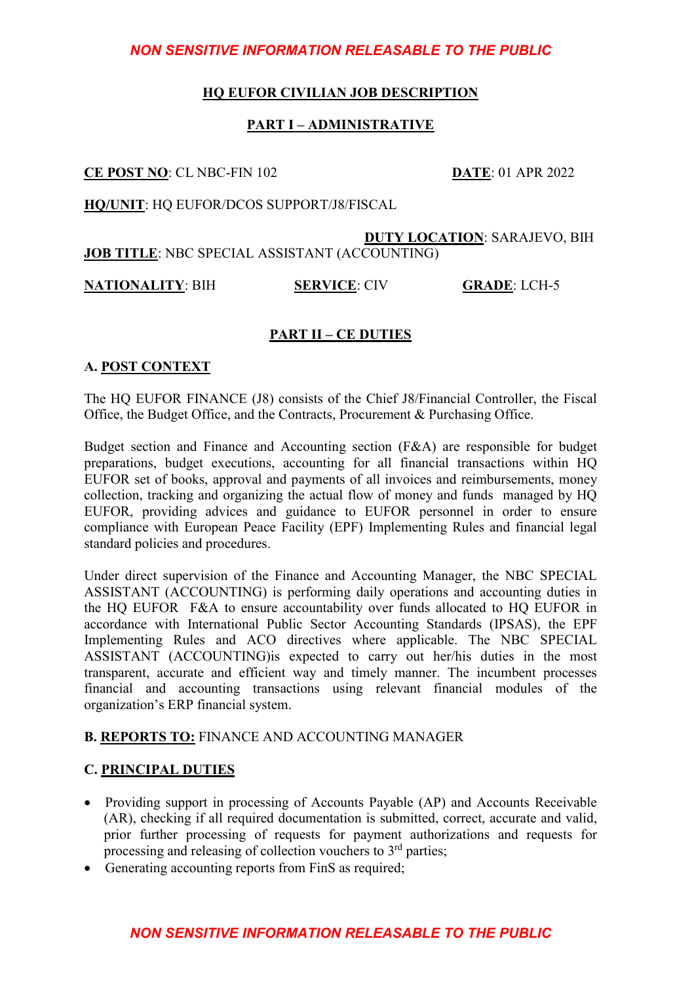## **HQ EUFOR CIVILIAN JOB DESCRIPTION**

## **PART I – ADMINISTRATIVE**

**CE POST NO**: CL NBC-FIN 102 **DATE**: 01 APR 2022

**HQ/UNIT**: HQ EUFOR/DCOS SUPPORT/J8/FISCAL

 **DUTY LOCATION**: SARAJEVO, BIH **JOB TITLE**: NBC SPECIAL ASSISTANT (ACCOUNTING)

**NATIONALITY**: BIH **SERVICE**: CIV **GRADE**: LCH-5

## **PART II – CE DUTIES**

## **A. POST CONTEXT**

The HQ EUFOR FINANCE (J8) consists of the Chief J8/Financial Controller, the Fiscal Office, the Budget Office, and the Contracts, Procurement & Purchasing Office.

Budget section and Finance and Accounting section (F&A) are responsible for budget preparations, budget executions, accounting for all financial transactions within HQ EUFOR set of books, approval and payments of all invoices and reimbursements, money collection, tracking and organizing the actual flow of money and funds managed by HQ EUFOR, providing advices and guidance to EUFOR personnel in order to ensure compliance with European Peace Facility (EPF) Implementing Rules and financial legal standard policies and procedures.

Under direct supervision of the Finance and Accounting Manager, the NBC SPECIAL ASSISTANT (ACCOUNTING) is performing daily operations and accounting duties in the HQ EUFOR F&A to ensure accountability over funds allocated to HQ EUFOR in accordance with International Public Sector Accounting Standards (IPSAS), the EPF Implementing Rules and ACO directives where applicable. The NBC SPECIAL ASSISTANT (ACCOUNTING)is expected to carry out her/his duties in the most transparent, accurate and efficient way and timely manner. The incumbent processes financial and accounting transactions using relevant financial modules of the organization's ERP financial system.

## **B. REPORTS TO:** FINANCE AND ACCOUNTING MANAGER

## **C. PRINCIPAL DUTIES**

- Providing support in processing of Accounts Payable (AP) and Accounts Receivable (AR), checking if all required documentation is submitted, correct, accurate and valid, prior further processing of requests for payment authorizations and requests for processing and releasing of collection vouchers to  $3<sup>rd</sup>$  parties;
- Generating accounting reports from FinS as required;

## *NON SENSITIVE INFORMATION RELEASABLE TO THE PUBLIC*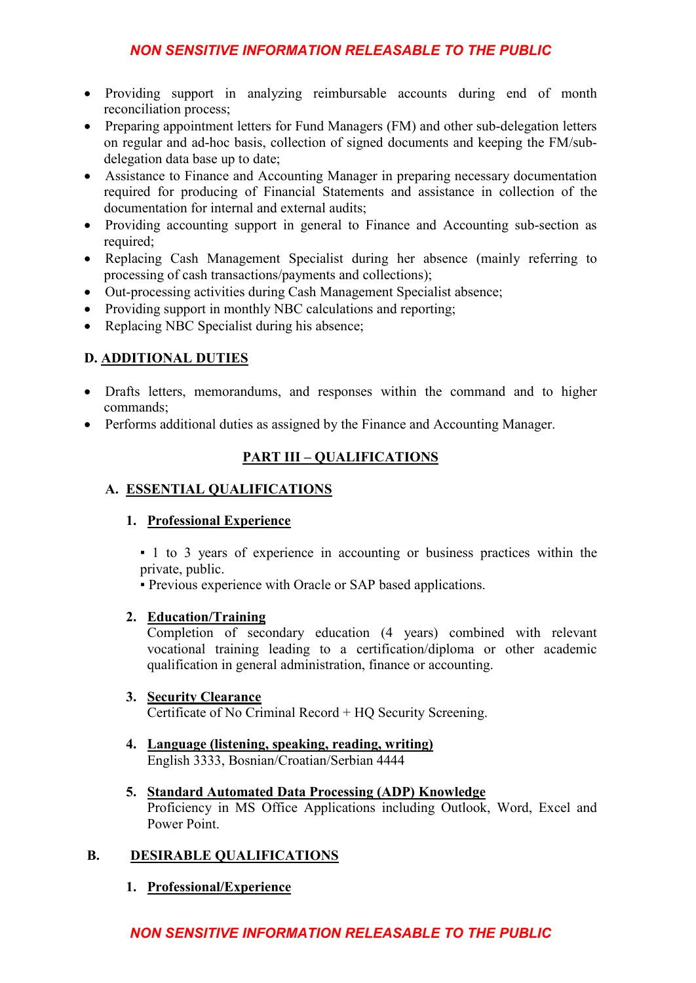- Providing support in analyzing reimbursable accounts during end of month reconciliation process;
- Preparing appointment letters for Fund Managers (FM) and other sub-delegation letters on regular and ad-hoc basis, collection of signed documents and keeping the FM/subdelegation data base up to date;
- Assistance to Finance and Accounting Manager in preparing necessary documentation required for producing of Financial Statements and assistance in collection of the documentation for internal and external audits;
- Providing accounting support in general to Finance and Accounting sub-section as required;
- Replacing Cash Management Specialist during her absence (mainly referring to processing of cash transactions/payments and collections);
- Out-processing activities during Cash Management Specialist absence;
- Providing support in monthly NBC calculations and reporting;
- Replacing NBC Specialist during his absence;

# **D. ADDITIONAL DUTIES**

- Drafts letters, memorandums, and responses within the command and to higher commands;
- Performs additional duties as assigned by the Finance and Accounting Manager.

# **PART III – QUALIFICATIONS**

## **A. ESSENTIAL QUALIFICATIONS**

## **1. Professional Experience**

▪ 1 to 3 years of experience in accounting or business practices within the private, public.

▪ Previous experience with Oracle or SAP based applications.

## **2. Education/Training**

Completion of secondary education (4 years) combined with relevant vocational training leading to a certification/diploma or other academic qualification in general administration, finance or accounting.

#### **3. Security Clearance**

Certificate of No Criminal Record + HQ Security Screening.

- **4. Language (listening, speaking, reading, writing)** English 3333, Bosnian/Croatian/Serbian 4444
- **5. Standard Automated Data Processing (ADP) Knowledge** Proficiency in MS Office Applications including Outlook, Word, Excel and Power Point.

## **B. DESIRABLE QUALIFICATIONS**

**1. Professional/Experience**

## *NON SENSITIVE INFORMATION RELEASABLE TO THE PUBLIC*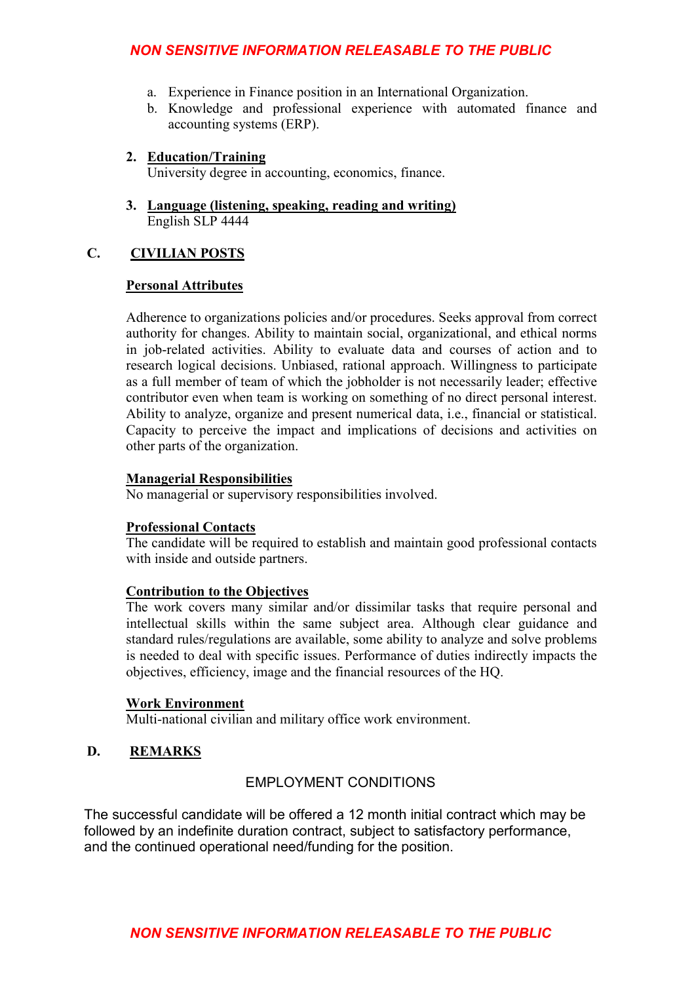- a. Experience in Finance position in an International Organization.
- b. Knowledge and professional experience with automated finance and accounting systems (ERP).

#### **2. Education/Training**

University degree in accounting, economics, finance.

**3. Language (listening, speaking, reading and writing)** English SLP 4444

#### **C. CIVILIAN POSTS**

#### **Personal Attributes**

Adherence to organizations policies and/or procedures. Seeks approval from correct authority for changes. Ability to maintain social, organizational, and ethical norms in job-related activities. Ability to evaluate data and courses of action and to research logical decisions. Unbiased, rational approach. Willingness to participate as a full member of team of which the jobholder is not necessarily leader; effective contributor even when team is working on something of no direct personal interest. Ability to analyze, organize and present numerical data, i.e., financial or statistical. Capacity to perceive the impact and implications of decisions and activities on other parts of the organization.

#### **Managerial Responsibilities**

No managerial or supervisory responsibilities involved.

#### **Professional Contacts**

The candidate will be required to establish and maintain good professional contacts with inside and outside partners.

#### **Contribution to the Objectives**

The work covers many similar and/or dissimilar tasks that require personal and intellectual skills within the same subject area. Although clear guidance and standard rules/regulations are available, some ability to analyze and solve problems is needed to deal with specific issues. Performance of duties indirectly impacts the objectives, efficiency, image and the financial resources of the HQ.

#### **Work Environment**

Multi-national civilian and military office work environment.

#### **D. REMARKS**

## EMPLOYMENT CONDITIONS

The successful candidate will be offered a 12 month initial contract which may be followed by an indefinite duration contract, subject to satisfactory performance, and the continued operational need/funding for the position.

## *NON SENSITIVE INFORMATION RELEASABLE TO THE PUBLIC*